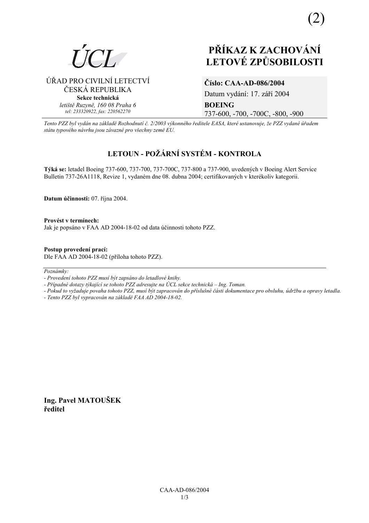

ÚŘAD PRO CIVILNÍ LETECTVÍ ČESKÁ REPUBLIKA **Sekce technická** *letiötě Ruzyně, 160 08 Praha 6 tel: 233320922, fax: 220562270*

# **PŘÍKAZ K ZACHOVÁNÍ LETOV… ZPŮSOBILOSTI**

### **ČÌslo: CAA-AD-086/2004**

Datum vydání: 17. září 2004 **BOEING**  737-600, -700, -700C, -800, -900

*Tento PZZ byl vyd·n na z·kladě RozhodnutÌ č. 2/2003 v˝konnÈho ředitele EASA, kterÈ ustanovuje, ûe PZZ vydanÈ ˙řadem st·tu typovÈho n·vrhu jsou z·vaznÈ pro vöechny země EU.*

## LETOUN - POŽÁRNÍ SYSTÉM - KONTROLA

**T˝k· se:** letadel Boeing 737-600, 737-700, 737-700C, 737-800 a 737-900, uveden˝ch v Boeing Alert Service Bulletin 737-26A1118, Revize 1, vydaném dne 08. dubna 2004; certifikovaných v kterékoliv kategorii.

**Datum ˙činnosti:** 07. řÌjna 2004.

Provést v termínech: Jak je popsáno v FAA AD 2004-18-02 od data účinnosti tohoto PZZ.

**Postup provedenÌ pracÌ:**  Dle FAA AD 2004-18-02 (přÌloha tohoto PZZ).

 $Poznámky:$ 

- *Pokud to vyûaduje povaha tohoto PZZ, musÌ b˝t zapracov·n do přÌsluönÈ č·sti dokumentace pro obsluhu, ˙drûbu a opravy letadla.*
- *Tento PZZ byl vypracov·n na z·kladě FAA AD 2004-18-02.*

**Ing. Pavel MATOUäEK ředitel** 

*<sup>-</sup> ProvedenÌ tohoto PZZ musÌ b˝t zaps·no do letadlovÈ knihy.* 

*<sup>-</sup> Případné dotazy týkající se tohoto PZZ adresujte na ÚCL sekce technická – Ing. Toman.*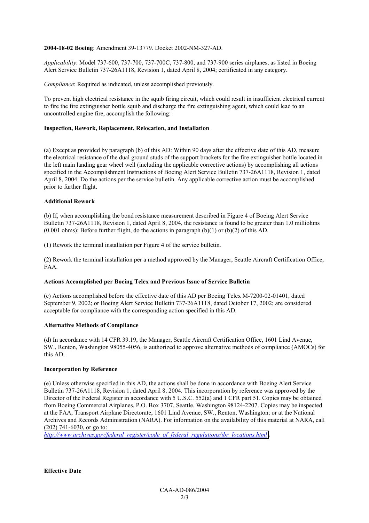#### **2004-18-02 Boeing**: Amendment 39-13779. Docket 2002-NM-327-AD.

*Applicability*: Model 737-600, 737-700, 737-700C, 737-800, and 737-900 series airplanes, as listed in Boeing Alert Service Bulletin 737-26A1118, Revision 1, dated April 8, 2004; certificated in any category.

*Compliance*: Required as indicated, unless accomplished previously.

To prevent high electrical resistance in the squib firing circuit, which could result in insufficient electrical current to fire the fire extinguisher bottle squib and discharge the fire extinguishing agent, which could lead to an uncontrolled engine fire, accomplish the following:

#### **Inspection, Rework, Replacement, Relocation, and Installation**

(a) Except as provided by paragraph (b) of this AD: Within 90 days after the effective date of this AD, measure the electrical resistance of the dual ground studs of the support brackets for the fire extinguisher bottle located in the left main landing gear wheel well (including the applicable corrective actions) by accomplishing all actions specified in the Accomplishment Instructions of Boeing Alert Service Bulletin 737-26A1118, Revision 1, dated April 8, 2004. Do the actions per the service bulletin. Any applicable corrective action must be accomplished prior to further flight.

#### **Additional Rework**

(b) If, when accomplishing the bond resistance measurement described in Figure 4 of Boeing Alert Service Bulletin 737-26A1118, Revision 1, dated April 8, 2004, the resistance is found to be greater than 1.0 milliohms  $(0.001 \text{ ohms})$ : Before further flight, do the actions in paragraph  $(b)(1)$  or  $(b)(2)$  of this AD.

(1) Rework the terminal installation per Figure 4 of the service bulletin.

(2) Rework the terminal installation per a method approved by the Manager, Seattle Aircraft Certification Office, FAA.

#### **Actions Accomplished per Boeing Telex and Previous Issue of Service Bulletin**

(c) Actions accomplished before the effective date of this AD per Boeing Telex M-7200-02-01401, dated September 9, 2002; or Boeing Alert Service Bulletin 737-26A1118, dated October 17, 2002; are considered acceptable for compliance with the corresponding action specified in this AD.

#### **Alternative Methods of Compliance**

(d) In accordance with 14 CFR 39.19, the Manager, Seattle Aircraft Certification Office, 1601 Lind Avenue, SW., Renton, Washington 98055-4056, is authorized to approve alternative methods of compliance (AMOCs) for this AD.

#### **Incorporation by Reference**

(e) Unless otherwise specified in this AD, the actions shall be done in accordance with Boeing Alert Service Bulletin 737-26A1118, Revision 1, dated April 8, 2004. This incorporation by reference was approved by the Director of the Federal Register in accordance with 5 U.S.C. 552(a) and 1 CFR part 51. Copies may be obtained from Boeing Commercial Airplanes, P.O. Box 3707, Seattle, Washington 98124-2207. Copies may be inspected at the FAA, Transport Airplane Directorate, 1601 Lind Avenue, SW., Renton, Washington; or at the National Archives and Records Administration (NARA). For information on the availability of this material at NARA, call (202) 741-6030, or go to:

*[http://www.archives.gov/federal\\_register/code\\_of\\_federal\\_regulations/ibr\\_locations.html](http://www.archives.gov/federal_register/code_of_federal_regulations/ibr_locations.html) .*